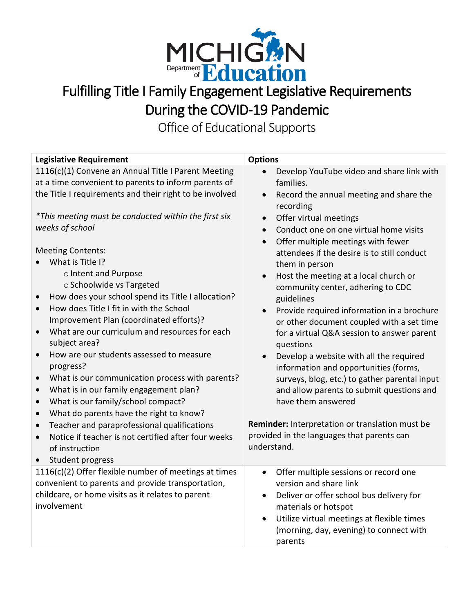

## Fulfilling Title I Family Engagement Legislative Requirements During the COVID-19 Pandemic

Office of Educational Supports

| <b>Legislative Requirement</b>                                                                                                                                                                                                                                                                                                                                                                                                                                                                                                                                                                                                                                                                                                                                                                                                                                                                                                                                     | <b>Options</b>                                                                                                                                                                                                                                                                                                                                                                                                                                                                                                                                                                                                                                                                                                                                                                                                                                                                       |
|--------------------------------------------------------------------------------------------------------------------------------------------------------------------------------------------------------------------------------------------------------------------------------------------------------------------------------------------------------------------------------------------------------------------------------------------------------------------------------------------------------------------------------------------------------------------------------------------------------------------------------------------------------------------------------------------------------------------------------------------------------------------------------------------------------------------------------------------------------------------------------------------------------------------------------------------------------------------|--------------------------------------------------------------------------------------------------------------------------------------------------------------------------------------------------------------------------------------------------------------------------------------------------------------------------------------------------------------------------------------------------------------------------------------------------------------------------------------------------------------------------------------------------------------------------------------------------------------------------------------------------------------------------------------------------------------------------------------------------------------------------------------------------------------------------------------------------------------------------------------|
| 1116(c)(1) Convene an Annual Title I Parent Meeting<br>at a time convenient to parents to inform parents of<br>the Title I requirements and their right to be involved<br>*This meeting must be conducted within the first six<br>weeks of school<br><b>Meeting Contents:</b><br>What is Title I?<br>o Intent and Purpose<br>o Schoolwide vs Targeted<br>How does your school spend its Title I allocation?<br>How does Title I fit in with the School<br>$\bullet$<br>Improvement Plan (coordinated efforts)?<br>What are our curriculum and resources for each<br>$\bullet$<br>subject area?<br>How are our students assessed to measure<br>$\bullet$<br>progress?<br>What is our communication process with parents?<br>$\bullet$<br>What is in our family engagement plan?<br>$\bullet$<br>What is our family/school compact?<br>$\bullet$<br>What do parents have the right to know?<br>$\bullet$<br>Teacher and paraprofessional qualifications<br>$\bullet$ | Develop YouTube video and share link with<br>families.<br>Record the annual meeting and share the<br>$\bullet$<br>recording<br>Offer virtual meetings<br>$\bullet$<br>Conduct one on one virtual home visits<br>$\bullet$<br>Offer multiple meetings with fewer<br>$\bullet$<br>attendees if the desire is to still conduct<br>them in person<br>Host the meeting at a local church or<br>$\bullet$<br>community center, adhering to CDC<br>guidelines<br>Provide required information in a brochure<br>$\bullet$<br>or other document coupled with a set time<br>for a virtual Q&A session to answer parent<br>questions<br>Develop a website with all the required<br>information and opportunities (forms,<br>surveys, blog, etc.) to gather parental input<br>and allow parents to submit questions and<br>have them answered<br>Reminder: Interpretation or translation must be |
| Notice if teacher is not certified after four weeks<br>of instruction                                                                                                                                                                                                                                                                                                                                                                                                                                                                                                                                                                                                                                                                                                                                                                                                                                                                                              | provided in the languages that parents can<br>understand.                                                                                                                                                                                                                                                                                                                                                                                                                                                                                                                                                                                                                                                                                                                                                                                                                            |
| Student progress<br>$\bullet$<br>1116(c)(2) Offer flexible number of meetings at times                                                                                                                                                                                                                                                                                                                                                                                                                                                                                                                                                                                                                                                                                                                                                                                                                                                                             | Offer multiple sessions or record one<br>$\bullet$                                                                                                                                                                                                                                                                                                                                                                                                                                                                                                                                                                                                                                                                                                                                                                                                                                   |
| convenient to parents and provide transportation,<br>childcare, or home visits as it relates to parent<br>involvement                                                                                                                                                                                                                                                                                                                                                                                                                                                                                                                                                                                                                                                                                                                                                                                                                                              | version and share link<br>Deliver or offer school bus delivery for<br>$\bullet$<br>materials or hotspot<br>Utilize virtual meetings at flexible times<br>$\bullet$<br>(morning, day, evening) to connect with<br>parents                                                                                                                                                                                                                                                                                                                                                                                                                                                                                                                                                                                                                                                             |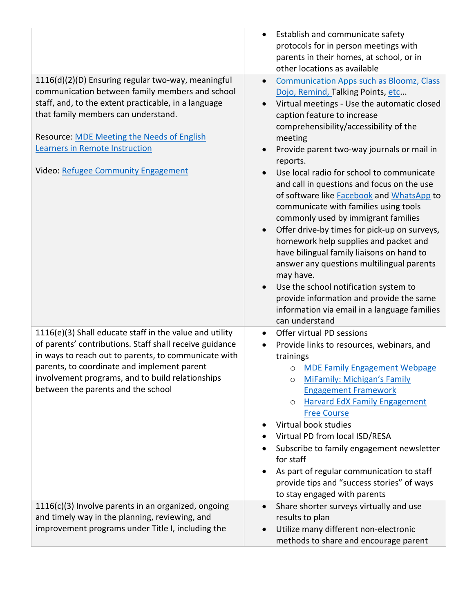|                                                                                                                                                                                                                                                                                                                                    | Establish and communicate safety<br>protocols for in person meetings with<br>parents in their homes, at school, or in<br>other locations as available                                                                                                                                                                                                                                                                                                                                                                                                                                                                                                                                                                                                                                                                                                                                |
|------------------------------------------------------------------------------------------------------------------------------------------------------------------------------------------------------------------------------------------------------------------------------------------------------------------------------------|--------------------------------------------------------------------------------------------------------------------------------------------------------------------------------------------------------------------------------------------------------------------------------------------------------------------------------------------------------------------------------------------------------------------------------------------------------------------------------------------------------------------------------------------------------------------------------------------------------------------------------------------------------------------------------------------------------------------------------------------------------------------------------------------------------------------------------------------------------------------------------------|
| 1116(d)(2)(D) Ensuring regular two-way, meaningful<br>communication between family members and school<br>staff, and, to the extent practicable, in a language<br>that family members can understand.<br>Resource: MDE Meeting the Needs of English<br><b>Learners in Remote Instruction</b><br>Video: Refugee Community Engagement | <b>Communication Apps such as Bloomz, Class</b><br>$\bullet$<br>Dojo, Remind, Talking Points, etc<br>Virtual meetings - Use the automatic closed<br>caption feature to increase<br>comprehensibility/accessibility of the<br>meeting<br>Provide parent two-way journals or mail in<br>reports.<br>Use local radio for school to communicate<br>and call in questions and focus on the use<br>of software like <b>Facebook</b> and WhatsApp to<br>communicate with families using tools<br>commonly used by immigrant families<br>Offer drive-by times for pick-up on surveys,<br>homework help supplies and packet and<br>have bilingual family liaisons on hand to<br>answer any questions multilingual parents<br>may have.<br>Use the school notification system to<br>provide information and provide the same<br>information via email in a language families<br>can understand |
| 1116(e)(3) Shall educate staff in the value and utility<br>of parents' contributions. Staff shall receive guidance<br>in ways to reach out to parents, to communicate with<br>parents, to coordinate and implement parent<br>involvement programs, and to build relationships<br>between the parents and the school                | Offer virtual PD sessions<br>Provide links to resources, webinars, and<br>trainings<br><b>MDE Family Engagement Webpage</b><br>O<br><b>MiFamily: Michigan's Family</b><br><b>Engagement Framework</b><br><b>Harvard EdX Family Engagement</b><br>O<br><b>Free Course</b><br>Virtual book studies<br>Virtual PD from local ISD/RESA<br>Subscribe to family engagement newsletter<br>for staff<br>As part of regular communication to staff<br>provide tips and "success stories" of ways<br>to stay engaged with parents                                                                                                                                                                                                                                                                                                                                                              |
| 1116(c)(3) Involve parents in an organized, ongoing<br>and timely way in the planning, reviewing, and<br>improvement programs under Title I, including the                                                                                                                                                                         | Share shorter surveys virtually and use<br>results to plan<br>Utilize many different non-electronic<br>methods to share and encourage parent                                                                                                                                                                                                                                                                                                                                                                                                                                                                                                                                                                                                                                                                                                                                         |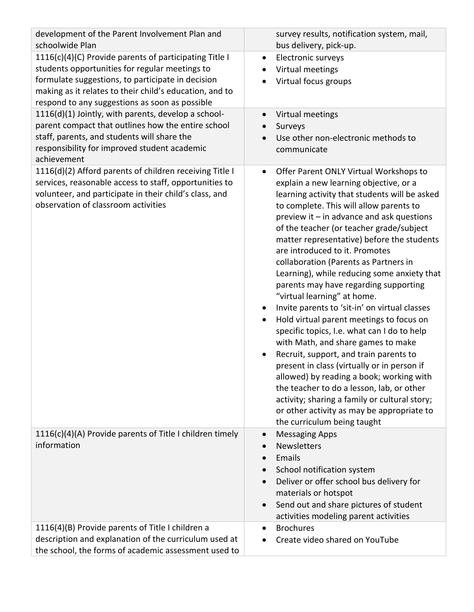| development of the Parent Involvement Plan and<br>schoolwide Plan                                                                                                                                                                                                          | survey results, notification system, mail,<br>bus delivery, pick-up.                                                                                                                                                                                                                                                                                                                                                                                                                                                                                                                                                                                                                                                                                                                                                                                                                                                                                                                                                                   |
|----------------------------------------------------------------------------------------------------------------------------------------------------------------------------------------------------------------------------------------------------------------------------|----------------------------------------------------------------------------------------------------------------------------------------------------------------------------------------------------------------------------------------------------------------------------------------------------------------------------------------------------------------------------------------------------------------------------------------------------------------------------------------------------------------------------------------------------------------------------------------------------------------------------------------------------------------------------------------------------------------------------------------------------------------------------------------------------------------------------------------------------------------------------------------------------------------------------------------------------------------------------------------------------------------------------------------|
| 1116(c)(4)(C) Provide parents of participating Title I<br>students opportunities for regular meetings to<br>formulate suggestions, to participate in decision<br>making as it relates to their child's education, and to<br>respond to any suggestions as soon as possible | Electronic surveys<br>$\bullet$<br>Virtual meetings<br>Virtual focus groups                                                                                                                                                                                                                                                                                                                                                                                                                                                                                                                                                                                                                                                                                                                                                                                                                                                                                                                                                            |
| 1116(d)(1) Jointly, with parents, develop a school-<br>parent compact that outlines how the entire school<br>staff, parents, and students will share the<br>responsibility for improved student academic<br>achievement                                                    | Virtual meetings<br>Surveys<br>Use other non-electronic methods to<br>communicate                                                                                                                                                                                                                                                                                                                                                                                                                                                                                                                                                                                                                                                                                                                                                                                                                                                                                                                                                      |
| 1116(d)(2) Afford parents of children receiving Title I<br>services, reasonable access to staff, opportunities to<br>volunteer, and participate in their child's class, and<br>observation of classroom activities                                                         | Offer Parent ONLY Virtual Workshops to<br>$\bullet$<br>explain a new learning objective, or a<br>learning activity that students will be asked<br>to complete. This will allow parents to<br>preview it $-$ in advance and ask questions<br>of the teacher (or teacher grade/subject<br>matter representative) before the students<br>are introduced to it. Promotes<br>collaboration (Parents as Partners in<br>Learning), while reducing some anxiety that<br>parents may have regarding supporting<br>"virtual learning" at home.<br>Invite parents to 'sit-in' on virtual classes<br>Hold virtual parent meetings to focus on<br>specific topics, I.e. what can I do to help<br>with Math, and share games to make<br>Recruit, support, and train parents to<br>present in class (virtually or in person if<br>allowed) by reading a book; working with<br>the teacher to do a lesson, lab, or other<br>activity; sharing a family or cultural story;<br>or other activity as may be appropriate to<br>the curriculum being taught |
| 1116(c)(4)(A) Provide parents of Title I children timely<br>information                                                                                                                                                                                                    | <b>Messaging Apps</b><br><b>Newsletters</b><br>Emails<br>School notification system<br>Deliver or offer school bus delivery for<br>materials or hotspot<br>Send out and share pictures of student<br>activities modeling parent activities                                                                                                                                                                                                                                                                                                                                                                                                                                                                                                                                                                                                                                                                                                                                                                                             |
| 1116(4)(B) Provide parents of Title I children a<br>description and explanation of the curriculum used at<br>the school, the forms of academic assessment used to                                                                                                          | <b>Brochures</b><br>Create video shared on YouTube                                                                                                                                                                                                                                                                                                                                                                                                                                                                                                                                                                                                                                                                                                                                                                                                                                                                                                                                                                                     |